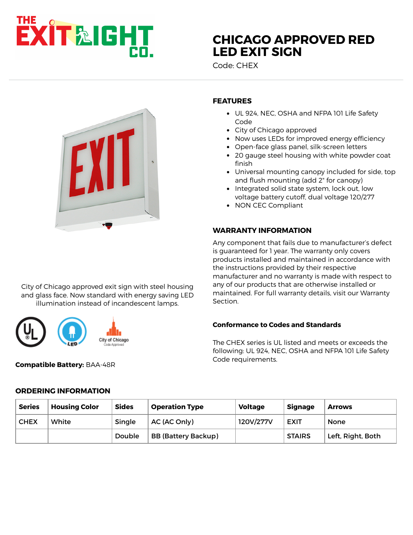# **EXIT&IGHT**

# **[CHICAGO APPROVED RED](https://www.exitlightco.com/product/CHEX.html) LED EXIT SIGN**

Code: CHEX



# **FEATURES**

- UL 924, NEC, OSHA and NFPA 101 Life Safety Code
- City of Chicago approved
- Now uses LEDs for improved energy efficiency
- Open-face glass panel, silk-screen letters
- 20 gauge steel housing with white powder coat finish
- Universal mounting canopy included for side, top and flush mounting (add 2" for canopy)
- Integrated solid state system, lock out, low voltage battery cutoff, dual voltage 120/277
- NON CEC Compliant

### **WARRANTY INFORMATION**

Any component that fails due to manufacturer's defect is guaranteed for 1 year. The warranty only covers products installed and maintained in accordance with the instructions provided by their respective manufacturer and no warranty is made with respect to any of our products that are otherwise installed or maintained. For full warranty details, visit our Warranty Section.

#### **Conformance to Codes and Standards**

The CHEX series is UL listed and meets or exceeds the following: UL 924, NEC, OSHA and NFPA 101 Life Safety Code requirements.

illumination instead of incandescent lamps.

City of Chicago approved exit sign with steel housing and glass face. Now standard with energy saving LED

City of Chicago



# **ORDERING INFORMATION**

| <b>Series</b> | <b>Housing Color</b> | <b>Sides</b> | <b>Operation Type</b>      | <b>Voltage</b> | <b>Signage</b> | <b>Arrows</b>     |
|---------------|----------------------|--------------|----------------------------|----------------|----------------|-------------------|
| <b>CHEX</b>   | White                | Single       | AC (AC Only)               | 120V/277V      | <b>EXIT</b>    | <b>None</b>       |
|               |                      | Double       | <b>BB (Battery Backup)</b> |                | <b>STAIRS</b>  | Left, Right, Both |